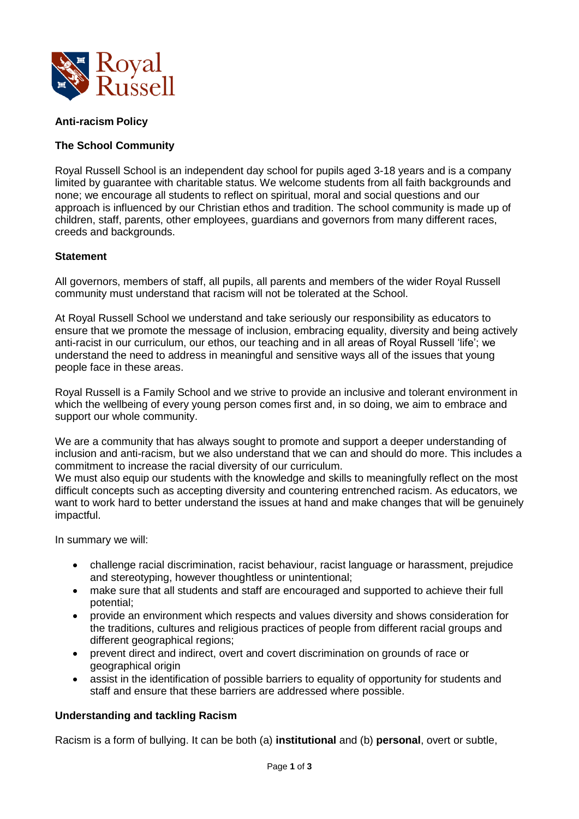

# **Anti-racism Policy**

# **The School Community**

Royal Russell School is an independent day school for pupils aged 3-18 years and is a company limited by guarantee with charitable status. We welcome students from all faith backgrounds and none; we encourage all students to reflect on spiritual, moral and social questions and our approach is influenced by our Christian ethos and tradition. The school community is made up of children, staff, parents, other employees, guardians and governors from many different races, creeds and backgrounds.

# **Statement**

All governors, members of staff, all pupils, all parents and members of the wider Royal Russell community must understand that racism will not be tolerated at the School.

At Royal Russell School we understand and take seriously our responsibility as educators to ensure that we promote the message of inclusion, embracing equality, diversity and being actively anti-racist in our curriculum, our ethos, our teaching and in all areas of Royal Russell 'life'; we understand the need to address in meaningful and sensitive ways all of the issues that young people face in these areas.

Royal Russell is a Family School and we strive to provide an inclusive and tolerant environment in which the wellbeing of every young person comes first and, in so doing, we aim to embrace and support our whole community.

We are a community that has always sought to promote and support a deeper understanding of inclusion and anti-racism, but we also understand that we can and should do more. This includes a commitment to increase the racial diversity of our curriculum.

We must also equip our students with the knowledge and skills to meaningfully reflect on the most difficult concepts such as accepting diversity and countering entrenched racism. As educators, we want to work hard to better understand the issues at hand and make changes that will be genuinely impactful.

In summary we will:

- challenge racial discrimination, racist behaviour, racist language or harassment, prejudice and stereotyping, however thoughtless or unintentional;
- make sure that all students and staff are encouraged and supported to achieve their full potential;
- provide an environment which respects and values diversity and shows consideration for the traditions, cultures and religious practices of people from different racial groups and different geographical regions;
- prevent direct and indirect, overt and covert discrimination on grounds of race or geographical origin
- assist in the identification of possible barriers to equality of opportunity for students and staff and ensure that these barriers are addressed where possible.

# **Understanding and tackling Racism**

Racism is a form of bullying. It can be both (a) **institutional** and (b) **personal**, overt or subtle,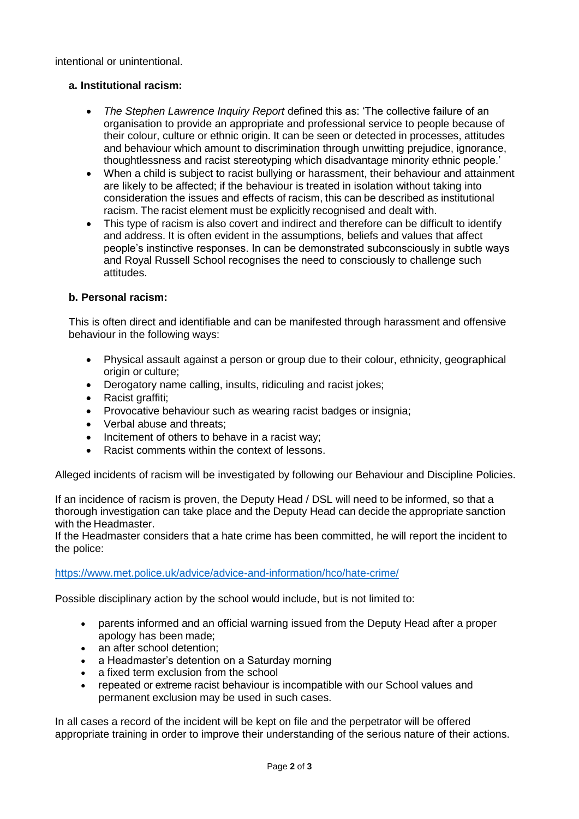intentional or unintentional.

# **a. Institutional racism:**

- *The Stephen Lawrence Inquiry Report* defined this as: 'The collective failure of an organisation to provide an appropriate and professional service to people because of their colour, culture or ethnic origin. It can be seen or detected in processes, attitudes and behaviour which amount to discrimination through unwitting prejudice, ignorance, thoughtlessness and racist stereotyping which disadvantage minority ethnic people.'
- When a child is subject to racist bullying or harassment, their behaviour and attainment are likely to be affected; if the behaviour is treated in isolation without taking into consideration the issues and effects of racism, this can be described as institutional racism. The racist element must be explicitly recognised and dealt with.
- This type of racism is also covert and indirect and therefore can be difficult to identify and address. It is often evident in the assumptions, beliefs and values that affect people's instinctive responses. In can be demonstrated subconsciously in subtle ways and Royal Russell School recognises the need to consciously to challenge such attitudes.

# **b. Personal racism:**

This is often direct and identifiable and can be manifested through harassment and offensive behaviour in the following ways:

- Physical assault against a person or group due to their colour, ethnicity, geographical origin or culture;
- Derogatory name calling, insults, ridiculing and racist jokes;
- Racist graffiti;
- Provocative behaviour such as wearing racist badges or insignia;
- Verbal abuse and threats:
- Incitement of others to behave in a racist way;
- Racist comments within the context of lessons.

Alleged incidents of racism will be investigated by following our Behaviour and Discipline Policies.

If an incidence of racism is proven, the Deputy Head / DSL will need to be informed, so that a thorough investigation can take place and the Deputy Head can decide the appropriate sanction with the Headmaster.

If the Headmaster considers that a hate crime has been committed, he will report the incident to the police:

# <https://www.met.police.uk/advice/advice-and-information/hco/hate-crime/>

Possible disciplinary action by the school would include, but is not limited to:

- parents informed and an official warning issued from the Deputy Head after a proper apology has been made;
- an after school detention;
- a Headmaster's detention on a Saturday morning
- a fixed term exclusion from the school
- repeated or extreme racist behaviour is incompatible with our School values and permanent exclusion may be used in such cases.

In all cases a record of the incident will be kept on file and the perpetrator will be offered appropriate training in order to improve their understanding of the serious nature of their actions.